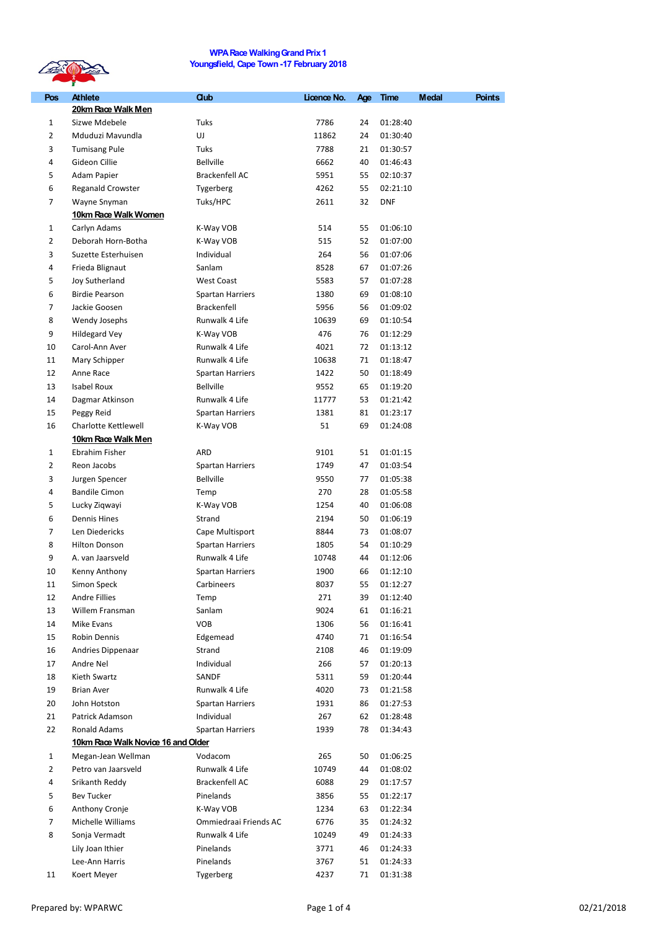

## **WPARace WalkingGrandPrix1 Youngsfield, Cape Town -17 February 2018**

| Pos          | <b>Athlete</b><br>20km Race Walk Men | <b>Club</b>             | Licence No. | Age | <b>Time</b> | <b>Medal</b> | <b>Points</b> |
|--------------|--------------------------------------|-------------------------|-------------|-----|-------------|--------------|---------------|
| 1            | Sizwe Mdebele                        | Tuks                    | 7786        | 24  | 01:28:40    |              |               |
| 2            | Mduduzi Mavundla                     | UJ                      | 11862       | 24  | 01:30:40    |              |               |
| 3            | <b>Tumisang Pule</b>                 | Tuks                    | 7788        | 21  | 01:30:57    |              |               |
| 4            | Gideon Cillie                        | <b>Bellville</b>        | 6662        | 40  | 01:46:43    |              |               |
| 5            | Adam Papier                          | Brackenfell AC          | 5951        | 55  | 02:10:37    |              |               |
| 6            | <b>Reganald Crowster</b>             | Tygerberg               | 4262        | 55  | 02:21:10    |              |               |
| 7            | Wayne Snyman                         | Tuks/HPC                | 2611        | 32  | DNF         |              |               |
|              | 10km Race Walk Women                 |                         |             |     |             |              |               |
| 1            | Carlyn Adams                         | K-Way VOB               | 514         | 55  | 01:06:10    |              |               |
| 2            | Deborah Horn-Botha                   | K-Way VOB               | 515         | 52  | 01:07:00    |              |               |
| 3            | Suzette Esterhuisen                  | Individual              | 264         | 56  | 01:07:06    |              |               |
| 4            | Frieda Blignaut                      | Sanlam                  | 8528        | 67  | 01:07:26    |              |               |
| 5            | Joy Sutherland                       | <b>West Coast</b>       | 5583        | 57  | 01:07:28    |              |               |
| 6            | <b>Birdie Pearson</b>                | <b>Spartan Harriers</b> | 1380        | 69  | 01:08:10    |              |               |
| 7            | Jackie Goosen                        | <b>Brackenfell</b>      | 5956        | 56  | 01:09:02    |              |               |
| 8            | Wendy Josephs                        | Runwalk 4 Life          | 10639       | 69  | 01:10:54    |              |               |
| 9            | <b>Hildegard Vey</b>                 | K-Way VOB               | 476         | 76  | 01:12:29    |              |               |
| 10           | Carol-Ann Aver                       | Runwalk 4 Life          | 4021        | 72  | 01:13:12    |              |               |
| 11           | Mary Schipper                        | Runwalk 4 Life          | 10638       | 71  | 01:18:47    |              |               |
| 12           | Anne Race                            | <b>Spartan Harriers</b> | 1422        | 50  | 01:18:49    |              |               |
| 13           | Isabel Roux                          | <b>Bellville</b>        | 9552        | 65  | 01:19:20    |              |               |
| 14           | Dagmar Atkinson                      | Runwalk 4 Life          | 11777       | 53  | 01:21:42    |              |               |
| 15           | Peggy Reid                           | <b>Spartan Harriers</b> | 1381        | 81  | 01:23:17    |              |               |
| 16           | Charlotte Kettlewell                 | K-Way VOB               | 51          | 69  | 01:24:08    |              |               |
|              | 10km Race Walk Men                   |                         |             |     |             |              |               |
| $\mathbf{1}$ | Ebrahim Fisher                       | ARD                     | 9101        | 51  | 01:01:15    |              |               |
| 2            | Reon Jacobs                          | <b>Spartan Harriers</b> | 1749        | 47  | 01:03:54    |              |               |
| 3            | Jurgen Spencer                       | <b>Bellville</b>        | 9550        | 77  | 01:05:38    |              |               |
| 4            | <b>Bandile Cimon</b>                 | Temp                    | 270         | 28  | 01:05:58    |              |               |
| 5            | Lucky Ziqwayi                        | K-Way VOB               | 1254        | 40  | 01:06:08    |              |               |
| 6            | <b>Dennis Hines</b>                  | Strand                  | 2194        | 50  | 01:06:19    |              |               |
| 7            | Len Diedericks                       | Cape Multisport         | 8844        | 73  | 01:08:07    |              |               |
| 8            | <b>Hilton Donson</b>                 | <b>Spartan Harriers</b> | 1805        | 54  | 01:10:29    |              |               |
| 9            | A. van Jaarsveld                     | Runwalk 4 Life          | 10748       | 44  | 01:12:06    |              |               |
| 10           | Kenny Anthony                        | <b>Spartan Harriers</b> | 1900        | 66  | 01:12:10    |              |               |
| 11           | Simon Speck                          | Carbineers              | 8037        | 55  | 01:12:27    |              |               |
| 12           | Andre Fillies                        | Temp                    | 271         | 39  | 01:12:40    |              |               |
| 13           | Willem Fransman                      | Sanlam                  | 9024        | 61  | 01:16:21    |              |               |
| 14           | Mike Evans                           | <b>VOB</b>              | 1306        | 56  | 01:16:41    |              |               |
| 15           | Robin Dennis                         | Edgemead                | 4740        | 71  | 01:16:54    |              |               |
| 16           | Andries Dippenaar                    | Strand                  | 2108        | 46  | 01:19:09    |              |               |
| 17           | Andre Nel                            | Individual              | 266         | 57  | 01:20:13    |              |               |
| 18           | Kieth Swartz                         | SANDF                   | 5311        | 59  | 01:20:44    |              |               |
| 19           | <b>Brian Aver</b>                    | Runwalk 4 Life          | 4020        | 73  | 01:21:58    |              |               |
| 20           | John Hotston                         | Spartan Harriers        | 1931        | 86  | 01:27:53    |              |               |
| 21           | Patrick Adamson                      | Individual              | 267         | 62  | 01:28:48    |              |               |
| 22           | Ronald Adams                         | <b>Spartan Harriers</b> | 1939        | 78  | 01:34:43    |              |               |
|              | 10km Race Walk Novice 16 and Older   |                         |             |     |             |              |               |
| 1            | Megan-Jean Wellman                   | Vodacom                 | 265         | 50  | 01:06:25    |              |               |
| 2            | Petro van Jaarsveld                  | Runwalk 4 Life          | 10749       | 44  | 01:08:02    |              |               |
| 4            | Srikanth Reddy                       | Brackenfell AC          | 6088        | 29  | 01:17:57    |              |               |
| 5            | Bev Tucker                           | Pinelands               | 3856        | 55  | 01:22:17    |              |               |
| 6            | Anthony Cronje                       | K-Way VOB               | 1234        | 63  | 01:22:34    |              |               |
| 7            | Michelle Williams                    | Ommiedraai Friends AC   | 6776        | 35  | 01:24:32    |              |               |
| 8            | Sonja Vermadt                        | Runwalk 4 Life          | 10249       | 49  | 01:24:33    |              |               |
|              | Lily Joan Ithier                     | Pinelands               | 3771        | 46  | 01:24:33    |              |               |
|              | Lee-Ann Harris                       | Pinelands               | 3767        | 51  | 01:24:33    |              |               |
| 11           | Koert Meyer                          | Tygerberg               | 4237        | 71  | 01:31:38    |              |               |
|              |                                      |                         |             |     |             |              |               |